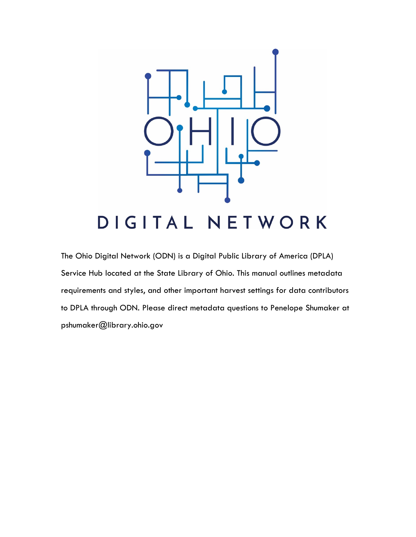

## DIGITAL NETWORK

The Ohio Digital Network (ODN) is a Digital Public Library of America (DPLA) Service Hub located at the State Library of Ohio. This manual outlines metadata requirements and styles, and other important harvest settings for data contributors to DPLA through ODN. Please direct metadata questions to Penelope Shumaker at pshumaker@library.ohio.gov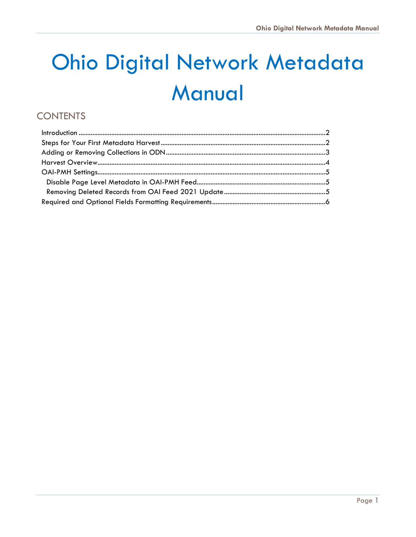# **Ohio Digital Network Metadata** Manual

## **CONTENTS**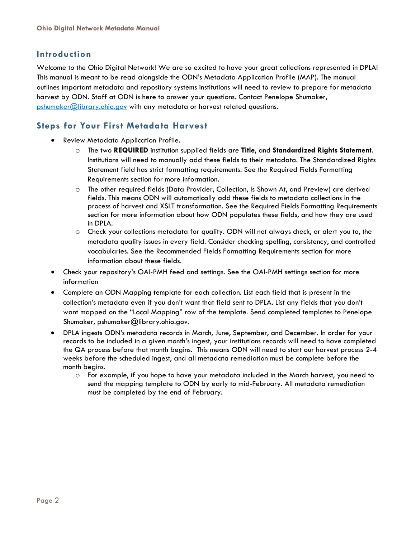#### <span id="page-2-0"></span>**Introduction**

Welcome to the Ohio Digital Network! We are so excited to have your great collections represented in DPLA! This manual is meant to be read alongside the ODN's Metadata Application Profile (MAP). The manual outlines important metadata and repository systems institutions will need to review to prepare for metadata harvest by ODN. Staff at ODN is here to answer your questions. Contact Penelope Shumaker, [pshumaker@library.ohio.gov](mailto:pshumaker@library.ohio.gov) with any metadata or harvest related questions.

### <span id="page-2-1"></span>**Steps for Your First Metadata Harvest**

- Review Metadata Application Profile.
	- o The two **REQUIRED** institution supplied fields are **Title**, and **Standardized Rights Statement**. Institutions will need to manually add these fields to their metadata. The Standardized Rights Statement field has strict formatting requirements. See the Required Fields Formatting Requirements section for more information.
	- o The other required fields (Data Provider, Collection, Is Shown At, and Preview) are derived fields. This means ODN will automatically add these fields to metadata collections in the process of harvest and XSLT transformation. See the Required Fields Formatting Requirements section for more information about how ODN populates these fields, and how they are used in DPLA.
	- o Check your collections metadata for quality. ODN will not always check, or alert you to, the metadata quality issues in every field. Consider checking spelling, consistency, and controlled vocabularies. See the Recommended Fields Formatting Requirements section for more information about these fields.
- Check your repository's OAI-PMH feed and settings. See the OAI-PMH settings section for more information
- Complete an ODN Mapping template for each collection. List each field that is present in the collection's metadata even if you don't want that field sent to DPLA. List any fields that you don't want mapped on the "Local Mapping" row of the template. Send completed templates to Penelope Shumaker, pshumaker@library.ohio.gov.
- DPLA ingests ODN's metadata records in March, June, September, and December. In order for your records to be included in a given month's ingest, your institutions records will need to have completed the QA process before that month begins. This means ODN will need to start our harvest process 2-4 weeks before the scheduled ingest, and all metadata remediation must be complete before the month begins.
	- o For example, if you hope to have your metadata included in the March harvest, you need to send the mapping template to ODN by early to mid-February. All metadata remediation must be completed by the end of February.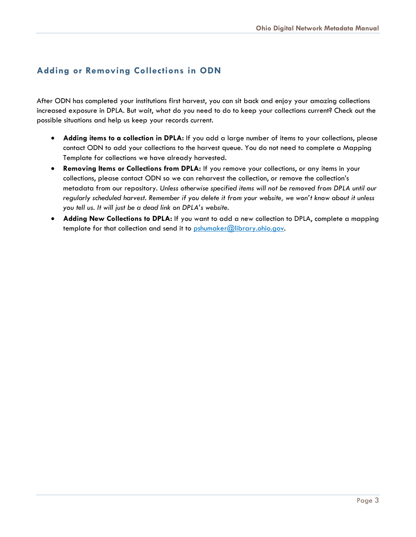## <span id="page-3-0"></span>**Adding or Removing Collections in ODN**

After ODN has completed your institutions first harvest, you can sit back and enjoy your amazing collections increased exposure in DPLA. But wait, what do you need to do to keep your collections current? Check out the possible situations and help us keep your records current.

- **Adding items to a collection in DPLA:** If you add a large number of items to your collections, please contact ODN to add your collections to the harvest queue. You do not need to complete a Mapping Template for collections we have already harvested.
- **Removing Items or Collections from DPLA:** If you remove your collections, or any items in your collections, please contact ODN so we can reharvest the collection, or remove the collection's metadata from our repository. *Unless otherwise specified items will not be removed from DPLA until our regularly scheduled harvest. Remember if you delete it from your website, we won't know about it unless you tell us. It will just be a dead link on DPLA's website.*
- **Adding New Collections to DPLA:** If you want to add a new collection to DPLA, complete a mapping template for that collection and send it to [pshumaker@library.ohio.gov.](mailto:pshumaker@library.ohio.gov)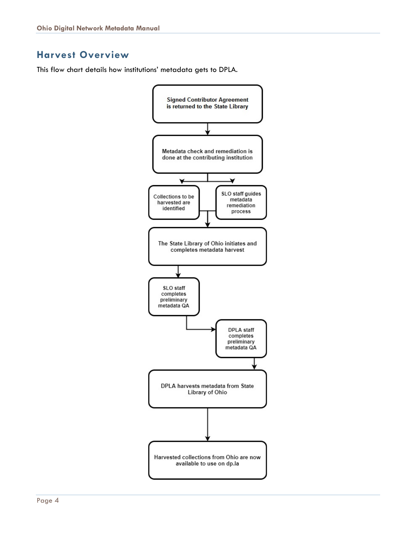## <span id="page-4-0"></span>**Harvest Overview**

This flow chart details how institutions' metadata gets to DPLA.

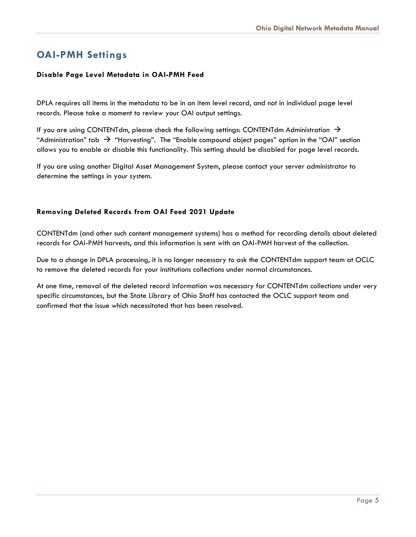## <span id="page-5-0"></span>**OAI-PMH Settings**

#### <span id="page-5-1"></span>**Disable Page Level Metadata in OAI-PMH Feed**

DPLA requires all items in the metadata to be in an item level record, and not in individual page level records. Please take a moment to review your OAI output settings.

If you are using CONTENTdm, please check the following settings: CONTENTdm Administration  $\rightarrow$ "Administration" tab  $\rightarrow$  "Harvesting". The "Enable compound object pages" option in the "OAI" section allows you to enable or disable this functionality. This setting should be disabled for page level records.

If you are using another Digital Asset Management System, please contact your server administrator to determine the settings in your system.

#### <span id="page-5-2"></span>**Removing Deleted Records from OAI Feed 2021 Update**

CONTENTdm (and other such content management systems) has a method for recording details about deleted records for OAI-PMH harvests, and this information is sent with an OAI-PMH harvest of the collection.

Due to a change in DPLA processing, it is no longer necessary to ask the CONTENTdm support team at OCLC to remove the deleted records for your institutions collections under normal circumstances.

At one time, removal of the deleted record information was necessary for CONTENTdm collections under very specific circumstances, but the State Library of Ohio Staff has contacted the OCLC support team and confirmed that the issue which necessitated that has been resolved.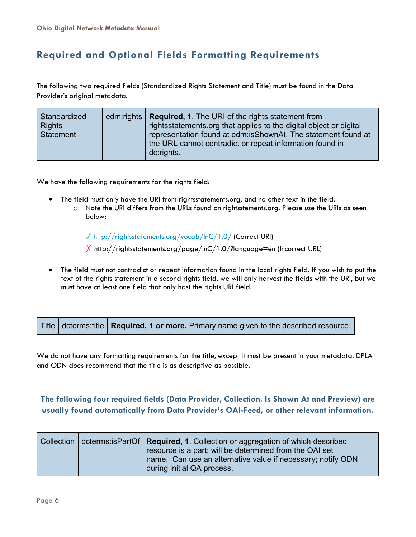## <span id="page-6-0"></span>**Required and Optional Fields Formatting Requirements**

The following two required fields (Standardized Rights Statement and Title) must be found in the Data Provider's original metadata.

| Standardized<br>edm:rights $ $<br><b>Rights</b><br>Statement | <b>Required, 1.</b> The URI of the rights statement from<br>rightsstatements.org that applies to the digital object or digital<br>representation found at edm:isShownAt. The statement found at<br>the URL cannot contradict or repeat information found in<br>dc:rights. |
|--------------------------------------------------------------|---------------------------------------------------------------------------------------------------------------------------------------------------------------------------------------------------------------------------------------------------------------------------|
|--------------------------------------------------------------|---------------------------------------------------------------------------------------------------------------------------------------------------------------------------------------------------------------------------------------------------------------------------|

We have the following requirements for the rights field:

- The field must only have the URI from rightsstatements.org, and no other text in the field.
	- o Note the URI differs from the URLs found on rightsstements.org. Please use the URIs as seen below:

✓ <http://rightsstatements.org/vocab/InC/1.0/> (Correct URI)

 $X$  <http://rightsstatements.org/page/InC/1.0/?language=en> (Incorrect URL)

• The field must not contradict or repeat information found in the local rights field. If you wish to put the text of the rights statement in a second rights field, we will only harvest the fields with the URI, but we must have at least one field that only hast the rights URI field.

|  |  | Title   dcterms:title   <b>Required, 1 or more.</b> Primary name given to the described resource. <sup>1</sup> |  |
|--|--|----------------------------------------------------------------------------------------------------------------|--|
|--|--|----------------------------------------------------------------------------------------------------------------|--|

We do not have any formatting requirements for the title, except it must be present in your metadata. DPLA and ODN does recommend that the title is as descriptive as possible.

#### **The following four required fields (Data Provider, Collection, Is Shown At and Preview) are usually found automatically from Data Provider's OAI-Feed, or other relevant information.**

|  | Collection   dcterms:isPartOf   Required, 1. Collection or aggregation of which described |
|--|-------------------------------------------------------------------------------------------|
|  | resource is a part; will be determined from the OAI set                                   |
|  | name. Can use an alternative value if necessary; notify ODN                               |
|  | during initial QA process.                                                                |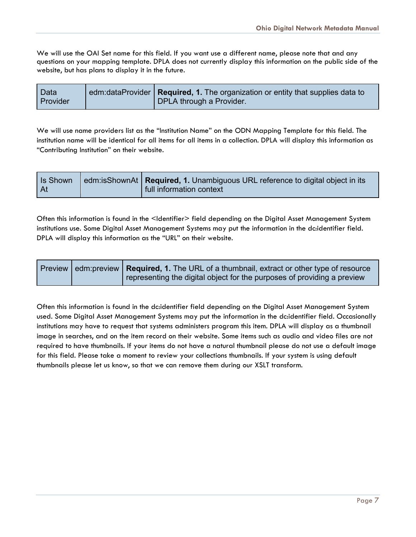We will use the OAI Set name for this field. If you want use a different name, please note that and any questions on your mapping template. DPLA does not currently display this information on the public side of the website, but has plans to display it in the future.

| <b>Data</b>     | edm:dataProvider   Required, 1. The organization or entity that supplies data to |
|-----------------|----------------------------------------------------------------------------------|
| <b>Provider</b> | DPLA through a Provider.                                                         |

We will use name providers list as the "Institution Name" on the ODN Mapping Template for this field. The institution name will be identical for all items for all items in a collection. DPLA will display this information as "Contributing Institution" on their website.

| edm:isShownAt   Required, 1. Unambiguous URL reference to digital object in its<br>Is Shown<br>  At<br>I full information context |  |
|-----------------------------------------------------------------------------------------------------------------------------------|--|
|-----------------------------------------------------------------------------------------------------------------------------------|--|

Often this information is found in the <Identifier> field depending on the Digital Asset Management System institutions use. Some Digital Asset Management Systems may put the information in the dc:identifier field. DPLA will display this information as the "URL" on their website.

|  | Preview edm: preview   Required, 1. The URL of a thumbnail, extract or other type of resource |
|--|-----------------------------------------------------------------------------------------------|
|  | representing the digital object for the purposes of providing a preview                       |

Often this information is found in the dc:identifier field depending on the Digital Asset Management System used. Some Digital Asset Management Systems may put the information in the dc:identifier field. Occasionally institutions may have to request that systems administers program this item. DPLA will display as a thumbnail image in searches, and on the item record on their website. Some items such as audio and video files are not required to have thumbnails. If your items do not have a natural thumbnail please do not use a default image for this field. Please take a moment to review your collections thumbnails. If your system is using default thumbnails please let us know, so that we can remove them during our XSLT transform.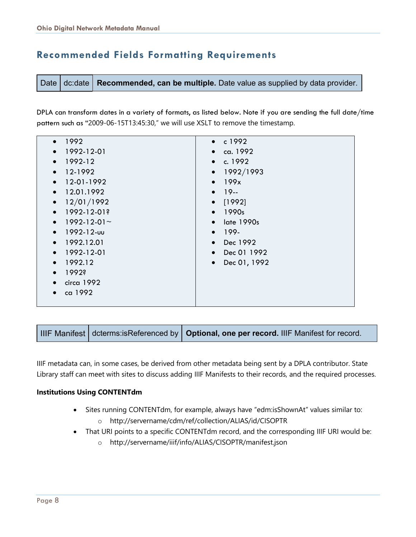## **Recommended Fields Formatting Requirements**

Date dc:date **Recommended, can be multiple.** Date value as supplied by data provider.

DPLA can transform dates in a variety of formats, as listed below. Note if you are sending the full date/time pattern such as "2009-06-15T13:45:30," we will use XSLT to remove the timestamp.

| • 1992                          | • $c1992$            |
|---------------------------------|----------------------|
| $\bullet$ 1992-12-01            | $\bullet$ ca. 1992   |
| 1992-12                         | • c. 1992            |
| 12-1992<br>$\bullet$            | $\bullet$ 1992/1993  |
| 12-01-1992<br>$\bullet$         | $\bullet$ 199x       |
| $\bullet$ 12.01.1992            | $• 19-$              |
| 12/01/1992                      | $\bullet$ [1992]     |
| 1992-12-01?<br>$\bullet$        | $\bullet$ 1990s      |
| $1992 - 12 - 01$ ~<br>$\bullet$ | $\bullet$ late 1990s |
| - 1992-12-υυ<br>$\bullet$       | $• 199-$             |
| $\bullet$ 1992.12.01            | $\bullet$ Dec 1992   |
| $\bullet$ 1992-12-01            | • Dec 01 1992        |
| 1992.12<br>$\bullet$            | • Dec 01, 1992       |
| 1992?<br>$\bullet$              |                      |
| $\bullet$ circa 1992            |                      |
| ca 1992                         |                      |
|                                 |                      |

IIIF Manifest dcterms:isReferenced by **Optional, one per record.** IIIF Manifest for record.

IIIF metadata can, in some cases, be derived from other metadata being sent by a DPLA contributor. State Library staff can meet with sites to discuss adding IIIF Manifests to their records, and the required processes.

#### **Institutions Using CONTENTdm**

- Sites running CONTENTdm, for example, always have "edm:isShownAt" values similar to:
	- o http://servername/cdm/ref/collection/ALIAS/id/CISOPTR
- That URI points to a specific CONTENTdm record, and the corresponding IIIF URI would be:
	- o http://servername/iiif/info/ALIAS/CISOPTR/manifest.json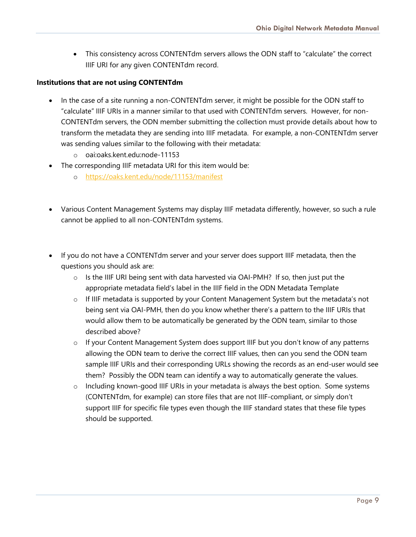• This consistency across CONTENTdm servers allows the ODN staff to "calculate" the correct IIIF URI for any given CONTENTdm record.

#### **Institutions that are not using CONTENTdm**

- In the case of a site running a non-CONTENTdm server, it might be possible for the ODN staff to "calculate" IIIF URIs in a manner similar to that used with CONTENTdm servers. However, for non-CONTENTdm servers, the ODN member submitting the collection must provide details about how to transform the metadata they are sending into IIIF metadata. For example, a non-CONTENTdm server was sending values similar to the following with their metadata:
	- o oai:oaks.kent.edu:node-11153
- The corresponding IIIF metadata URI for this item would be:
	- o <https://oaks.kent.edu/node/11153/manifest>
- Various Content Management Systems may display IIIF metadata differently, however, so such a rule cannot be applied to all non-CONTENTdm systems.
- If you do not have a CONTENTdm server and your server does support IIIF metadata, then the questions you should ask are:
	- $\circ$  Is the IIIF URI being sent with data harvested via OAI-PMH? If so, then just put the appropriate metadata field's label in the IIIF field in the ODN Metadata Template
	- o If IIIF metadata is supported by your Content Management System but the metadata's not being sent via OAI-PMH, then do you know whether there's a pattern to the IIIF URIs that would allow them to be automatically be generated by the ODN team, similar to those described above?
	- $\circ$  If your Content Management System does support IIIF but you don't know of any patterns allowing the ODN team to derive the correct IIIF values, then can you send the ODN team sample IIIF URIs and their corresponding URLs showing the records as an end-user would see them? Possibly the ODN team can identify a way to automatically generate the values.
	- $\circ$  Including known-good IIIF URIs in your metadata is always the best option. Some systems (CONTENTdm, for example) can store files that are not IIIF-compliant, or simply don't support IIIF for specific file types even though the IIIF standard states that these file types should be supported.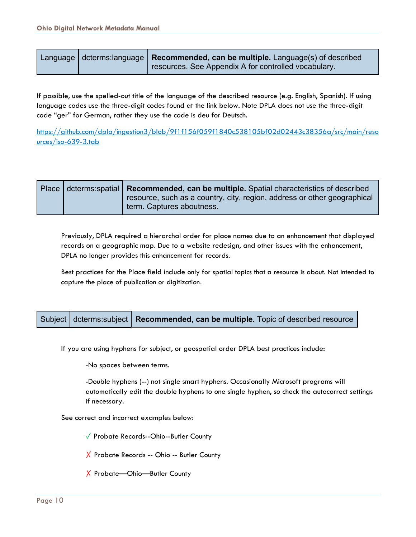| resources. See Appendix A for controlled vocabulary. |
|------------------------------------------------------|
|------------------------------------------------------|

If possible, use the spelled-out title of the language of the described resource (e.g. English, Spanish). If using language codes use the three-digit codes found at the link below. Note DPLA does not use the three-digit code "ger" for German, rather they use the code is deu for Deutsch.

[https://github.com/dpla/ingestion3/blob/9f1f156f059f1840c538105bf02d02443c38356a/src/main/reso](https://github.com/dpla/ingestion3/blob/9f1f156f059f1840c538105bf02d02443c38356a/src/main/resources/iso-639-3.tab) [urces/iso-639-3.tab](https://github.com/dpla/ingestion3/blob/9f1f156f059f1840c538105bf02d02443c38356a/src/main/resources/iso-639-3.tab)

|  | Place   dcterms:spatial   Recommended, can be multiple. Spatial characteristics of described          |
|--|-------------------------------------------------------------------------------------------------------|
|  | resource, such as a country, city, region, address or other geographical<br>term. Captures aboutness. |

Previously, DPLA required a hierarchal order for place names due to an enhancement that displayed records on a geographic map. Due to a website redesign, and other issues with the enhancement, DPLA no longer provides this enhancement for records.

Best practices for the Place field include only for spatial topics that a resource is about. Not intended to capture the place of publication or digitization.



If you are using hyphens for subject, or geospatial order DPLA best practices include:

-No spaces between terms.

-Double hyphens (--) not single smart hyphens. Occasionally Microsoft programs will automatically edit the double hyphens to one single hyphen, so check the autocorrect settings if necessary.

See correct and incorrect examples below:

✓ Probate Records--Ohio--Butler County

✗ Probate Records -- Ohio -- Butler County

✗ Probate—Ohio—Butler County